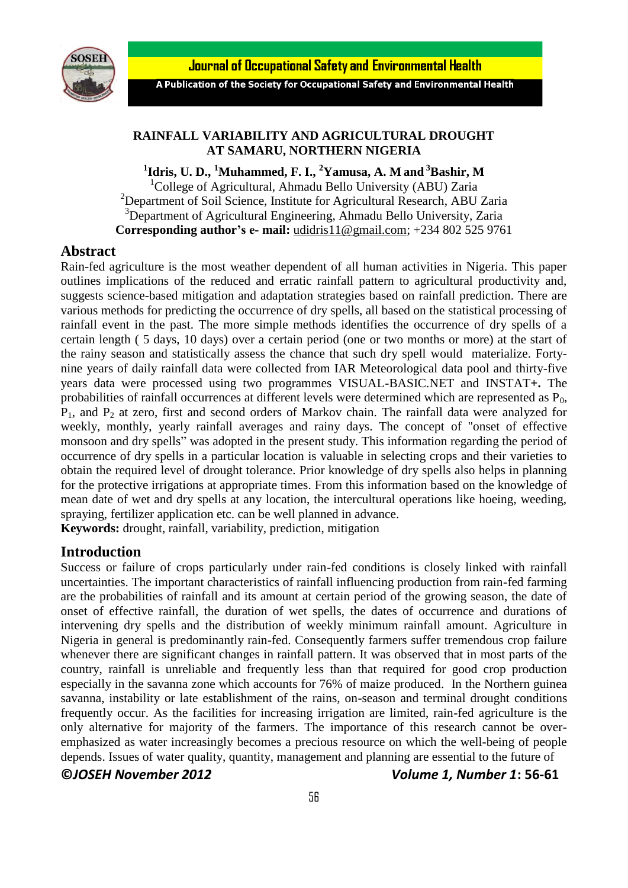Journal of Occupational Safety and Environmental Health



A Publication of the Society for Occupational Safety and Environmental Health

# **RAINFALL VARIABILITY AND AGRICULTURAL DROUGHT AT SAMARU, NORTHERN NIGERIA**

**1 Idris, U. D., <sup>1</sup>Muhammed, F. I., <sup>2</sup>Yamusa, A. M and <sup>3</sup>Bashir, M** <sup>1</sup>College of Agricultural, Ahmadu Bello University (ABU) Zaria <sup>2</sup>Department of Soil Science, Institute for Agricultural Research, ABU Zaria <sup>3</sup>Department of Agricultural Engineering, Ahmadu Bello University, Zaria **Corresponding author's e- mail:** [udidris11@gmail.com;](mailto:udidris11@gmail.com) +234 802 525 9761

# **Abstract**

Rain-fed agriculture is the most weather dependent of all human activities in Nigeria. This paper outlines implications of the reduced and erratic rainfall pattern to agricultural productivity and, suggests science-based mitigation and adaptation strategies based on rainfall prediction. There are various methods for predicting the occurrence of dry spells, all based on the statistical processing of rainfall event in the past. The more simple methods identifies the occurrence of dry spells of a certain length ( 5 days, 10 days) over a certain period (one or two months or more) at the start of the rainy season and statistically assess the chance that such dry spell would materialize. Fortynine years of daily rainfall data were collected from IAR Meteorological data pool and thirty-five years data were processed using two programmes VISUAL-BASIC.NET and INSTAT**+.** The probabilities of rainfall occurrences at different levels were determined which are represented as  $P_0$ ,  $P_1$ , and  $P_2$  at zero, first and second orders of Markov chain. The rainfall data were analyzed for weekly, monthly, yearly rainfall averages and rainy days. The concept of "onset of effective monsoon and dry spells" was adopted in the present study. This information regarding the period of occurrence of dry spells in a particular location is valuable in selecting crops and their varieties to obtain the required level of drought tolerance. Prior knowledge of dry spells also helps in planning for the protective irrigations at appropriate times. From this information based on the knowledge of mean date of wet and dry spells at any location, the intercultural operations like hoeing, weeding, spraying, fertilizer application etc. can be well planned in advance.

**Keywords:** drought, rainfall, variability, prediction, mitigation

# **Introduction**

Success or failure of crops particularly under rain-fed conditions is closely linked with rainfall uncertainties. The important characteristics of rainfall influencing production from rain-fed farming are the probabilities of rainfall and its amount at certain period of the growing season, the date of onset of effective rainfall, the duration of wet spells, the dates of occurrence and durations of intervening dry spells and the distribution of weekly minimum rainfall amount. Agriculture in Nigeria in general is predominantly rain-fed. Consequently farmers suffer tremendous crop failure whenever there are significant changes in rainfall pattern. It was observed that in most parts of the country, rainfall is unreliable and frequently less than that required for good crop production especially in the savanna zone which accounts for 76% of maize produced. In the Northern guinea savanna, instability or late establishment of the rains, on-season and terminal drought conditions frequently occur. As the facilities for increasing irrigation are limited, rain-fed agriculture is the only alternative for majority of the farmers. The importance of this research cannot be overemphasized as water increasingly becomes a precious resource on which the well-being of people depends. Issues of water quality, quantity, management and planning are essential to the future of

#### **©***JOSEH November 2012 Volume 1, Number 1***: 56-61**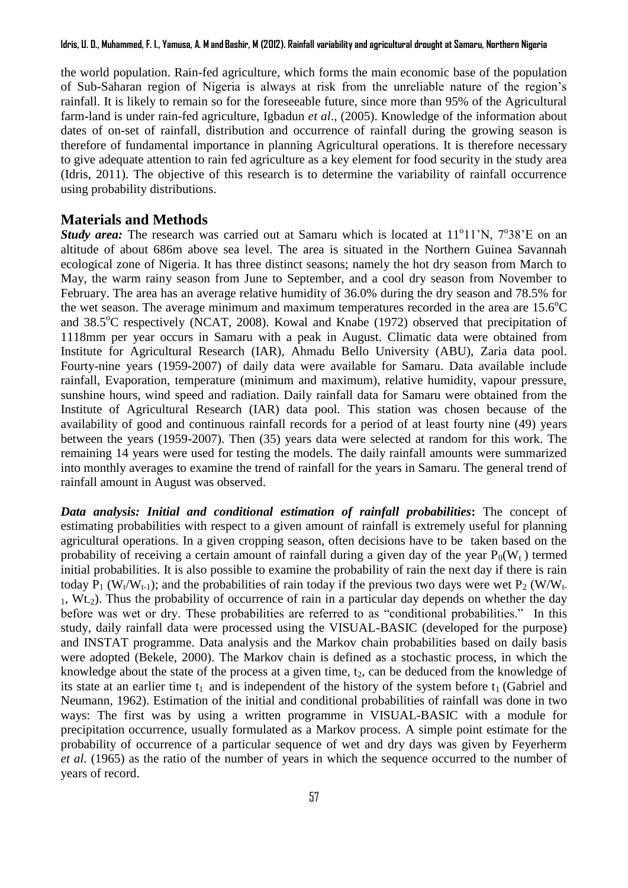the world population. Rain-fed agriculture, which forms the main economic base of the population of Sub-Saharan region of Nigeria is always at risk from the unreliable nature of the region's rainfall. It is likely to remain so for the foreseeable future, since more than 95% of the Agricultural farm-land is under rain-fed agriculture, Igbadun *et al*., (2005). Knowledge of the information about dates of on-set of rainfall, distribution and occurrence of rainfall during the growing season is therefore of fundamental importance in planning Agricultural operations. It is therefore necessary to give adequate attention to rain fed agriculture as a key element for food security in the study area (Idris, 2011). The objective of this research is to determine the variability of rainfall occurrence using probability distributions.

### **Materials and Methods**

**Study area:** The research was carried out at Samaru which is located at 11<sup>o</sup>11'N, 7<sup>o</sup>38'E on an altitude of about 686m above sea level. The area is situated in the Northern Guinea Savannah ecological zone of Nigeria. It has three distinct seasons; namely the hot dry season from March to May, the warm rainy season from June to September, and a cool dry season from November to February. The area has an average relative humidity of 36.0% during the dry season and 78.5% for the wet season. The average minimum and maximum temperatures recorded in the area are  $15.6^{\circ}$ C and  $38.5^{\circ}$ C respectively (NCAT, 2008). Kowal and Knabe (1972) observed that precipitation of 1118mm per year occurs in Samaru with a peak in August. Climatic data were obtained from Institute for Agricultural Research (IAR), Ahmadu Bello University (ABU), Zaria data pool. Fourty-nine years (1959-2007) of daily data were available for Samaru. Data available include rainfall, Evaporation, temperature (minimum and maximum), relative humidity, vapour pressure, sunshine hours, wind speed and radiation. Daily rainfall data for Samaru were obtained from the Institute of Agricultural Research (IAR) data pool. This station was chosen because of the availability of good and continuous rainfall records for a period of at least fourty nine (49) years between the years (1959-2007). Then (35) years data were selected at random for this work. The remaining 14 years were used for testing the models. The daily rainfall amounts were summarized into monthly averages to examine the trend of rainfall for the years in Samaru. The general trend of rainfall amount in August was observed.

*Data analysis: Initial and conditional estimation of rainfall probabilities***:** The concept of estimating probabilities with respect to a given amount of rainfall is extremely useful for planning agricultural operations. In a given cropping season, often decisions have to be taken based on the probability of receiving a certain amount of rainfall during a given day of the year  $P_0(W_t)$  termed initial probabilities. It is also possible to examine the probability of rain the next day if there is rain today P<sub>1</sub> (W<sub>t</sub>/W<sub>t-1</sub>); and the probabilities of rain today if the previous two days were wet P<sub>2</sub> (W/W<sub>t-</sub>  $1$ , Wt<sub>2</sub>). Thus the probability of occurrence of rain in a particular day depends on whether the day before was wet or dry. These probabilities are referred to as "conditional probabilities." In this study, daily rainfall data were processed using the VISUAL-BASIC (developed for the purpose) and INSTAT programme. Data analysis and the Markov chain probabilities based on daily basis were adopted (Bekele, 2000). The Markov chain is defined as a stochastic process, in which the knowledge about the state of the process at a given time,  $t_2$ , can be deduced from the knowledge of its state at an earlier time  $t_1$  and is independent of the history of the system before  $t_1$  (Gabriel and Neumann, 1962). Estimation of the initial and conditional probabilities of rainfall was done in two ways: The first was by using a written programme in VISUAL-BASIC with a module for precipitation occurrence, usually formulated as a Markov process. A simple point estimate for the probability of occurrence of a particular sequence of wet and dry days was given by Feyerherm *et al.* (1965) as the ratio of the number of years in which the sequence occurred to the number of years of record.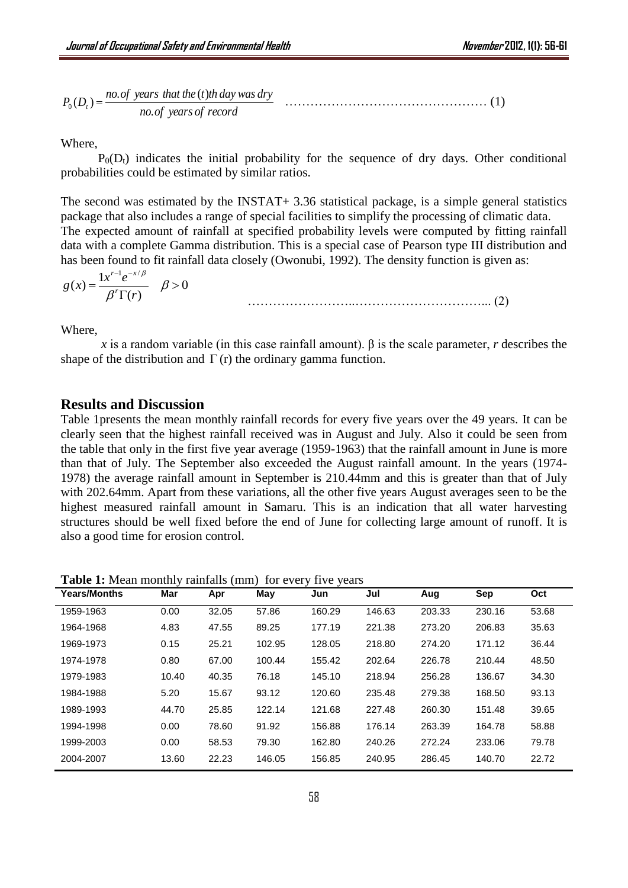$$
P_0(D_t) = \frac{no. of \text{ years that the (t)th day was dry}}{no. of \text{ years of record}} \tag{1}
$$

Where,

 $P_0(D_t)$  indicates the initial probability for the sequence of dry days. Other conditional probabilities could be estimated by similar ratios.

The second was estimated by the INSTAT+ 3.36 statistical package, is a simple general statistics package that also includes a range of special facilities to simplify the processing of climatic data. The expected amount of rainfall at specified probability levels were computed by fitting rainfall data with a complete Gamma distribution. This is a special case of Pearson type III distribution and has been found to fit rainfall data closely (Owonubi, 1992). The density function is given as:

$$
g(x) = \frac{1 x^{r-1} e^{-x/\beta}}{\beta^r \Gamma(r)} \quad \beta > 0
$$
\n
$$
\qquad (2)
$$

Where,

*x* is a random variable (in this case rainfall amount). β is the scale parameter, *r* describes the shape of the distribution and  $\Gamma(r)$  the ordinary gamma function.

# **Results and Discussion**

Table 1presents the mean monthly rainfall records for every five years over the 49 years. It can be clearly seen that the highest rainfall received was in August and July. Also it could be seen from the table that only in the first five year average (1959-1963) that the rainfall amount in June is more than that of July. The September also exceeded the August rainfall amount. In the years (1974- 1978) the average rainfall amount in September is 210.44mm and this is greater than that of July with 202.64mm. Apart from these variations, all the other five years August averages seen to be the highest measured rainfall amount in Samaru. This is an indication that all water harvesting structures should be well fixed before the end of June for collecting large amount of runoff. It is also a good time for erosion control.

**Table 1:** Mean monthly rainfalls (mm) for every five years

| <b>Years/Months</b> | Mar   | Apr   | May    | Jun    | Jul    | Aug    | <b>Sep</b> | Oct   |
|---------------------|-------|-------|--------|--------|--------|--------|------------|-------|
| 1959-1963           | 0.00  | 32.05 | 57.86  | 160.29 | 146.63 | 203.33 | 230.16     | 53.68 |
| 1964-1968           | 4.83  | 47.55 | 89.25  | 177.19 | 221.38 | 273.20 | 206.83     | 35.63 |
| 1969-1973           | 0.15  | 25.21 | 102.95 | 128.05 | 218.80 | 274.20 | 171.12     | 36.44 |
| 1974-1978           | 0.80  | 67.00 | 100.44 | 155.42 | 202.64 | 226.78 | 210.44     | 48.50 |
| 1979-1983           | 10.40 | 40.35 | 76.18  | 145.10 | 218.94 | 256.28 | 136.67     | 34.30 |
| 1984-1988           | 5.20  | 15.67 | 93.12  | 120.60 | 235.48 | 279.38 | 168.50     | 93.13 |
| 1989-1993           | 44.70 | 25.85 | 122.14 | 121.68 | 227.48 | 260.30 | 151.48     | 39.65 |
| 1994-1998           | 0.00  | 78.60 | 91.92  | 156.88 | 176.14 | 263.39 | 164.78     | 58.88 |
| 1999-2003           | 0.00  | 58.53 | 79.30  | 162.80 | 240.26 | 272.24 | 233.06     | 79.78 |
| 2004-2007           | 13.60 | 22.23 | 146.05 | 156.85 | 240.95 | 286.45 | 140.70     | 22.72 |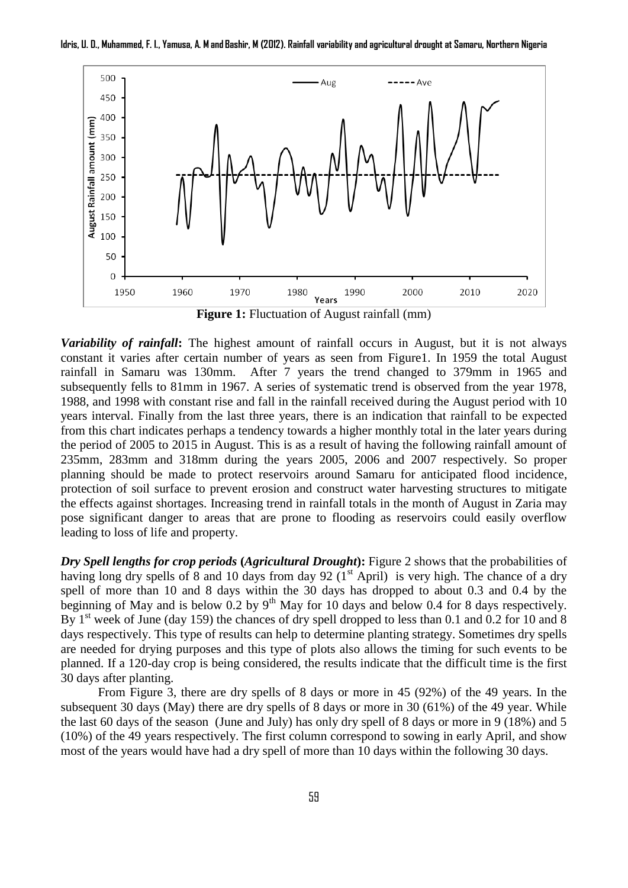

**Idris, U. D., Muhammed, F. I., Yamusa, A. M and Bashir, M (2012). Rainfall variability and agricultural drought at Samaru, Northern Nigeria**

**Figure 1:** Fluctuation of August rainfall (mm)

*Variability of rainfall***:** The highest amount of rainfall occurs in August, but it is not always constant it varies after certain number of years as seen from Figure1. In 1959 the total August rainfall in Samaru was 130mm. After 7 years the trend changed to 379mm in 1965 and subsequently fells to 81mm in 1967. A series of systematic trend is observed from the year 1978, 1988, and 1998 with constant rise and fall in the rainfall received during the August period with 10 years interval. Finally from the last three years, there is an indication that rainfall to be expected from this chart indicates perhaps a tendency towards a higher monthly total in the later years during the period of 2005 to 2015 in August. This is as a result of having the following rainfall amount of 235mm, 283mm and 318mm during the years 2005, 2006 and 2007 respectively. So proper planning should be made to protect reservoirs around Samaru for anticipated flood incidence, protection of soil surface to prevent erosion and construct water harvesting structures to mitigate the effects against shortages. Increasing trend in rainfall totals in the month of August in Zaria may pose significant danger to areas that are prone to flooding as reservoirs could easily overflow leading to loss of life and property.

*Dry Spell lengths for crop periods* **(***Agricultural Drought***):** Figure 2 shows that the probabilities of having long dry spells of 8 and 10 days from day 92  $(1<sup>st</sup>$  April) is very high. The chance of a dry spell of more than 10 and 8 days within the 30 days has dropped to about 0.3 and 0.4 by the beginning of May and is below 0.2 by  $9<sup>th</sup>$  May for 10 days and below 0.4 for 8 days respectively. By  $1<sup>st</sup>$  week of June (day 159) the chances of dry spell dropped to less than 0.1 and 0.2 for 10 and 8 days respectively. This type of results can help to determine planting strategy. Sometimes dry spells are needed for drying purposes and this type of plots also allows the timing for such events to be planned. If a 120-day crop is being considered, the results indicate that the difficult time is the first 30 days after planting.

From Figure 3, there are dry spells of 8 days or more in 45 (92%) of the 49 years. In the subsequent 30 days (May) there are dry spells of 8 days or more in 30 (61%) of the 49 year. While the last 60 days of the season (June and July) has only dry spell of 8 days or more in 9 (18%) and 5 (10%) of the 49 years respectively. The first column correspond to sowing in early April, and show most of the years would have had a dry spell of more than 10 days within the following 30 days.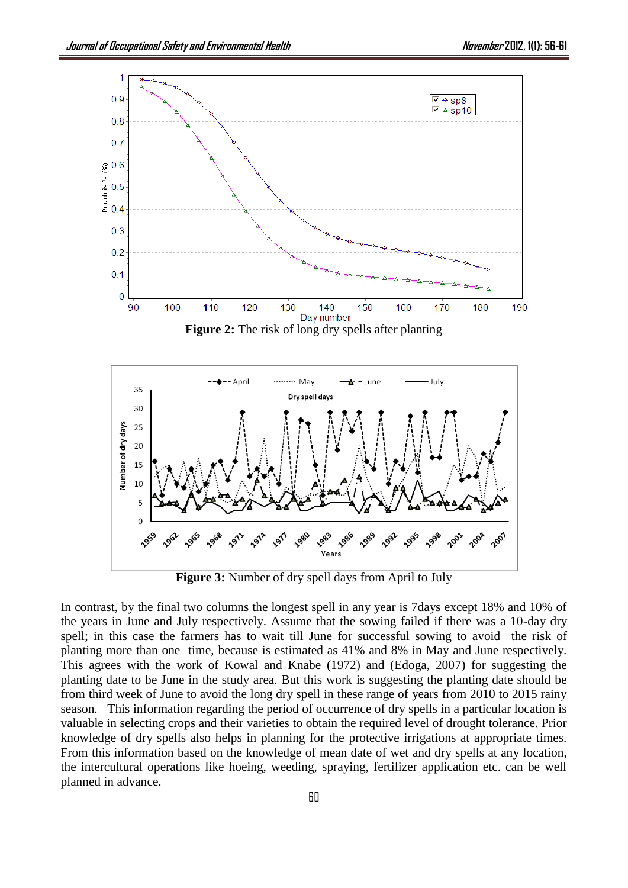



**Figure 3:** Number of dry spell days from April to July

In contrast, by the final two columns the longest spell in any year is 7days except 18% and 10% of the years in June and July respectively. Assume that the sowing failed if there was a 10-day dry spell; in this case the farmers has to wait till June for successful sowing to avoid the risk of planting more than one time, because is estimated as 41% and 8% in May and June respectively. This agrees with the work of Kowal and Knabe (1972) and (Edoga, 2007) for suggesting the planting date to be June in the study area. But this work is suggesting the planting date should be from third week of June to avoid the long dry spell in these range of years from 2010 to 2015 rainy season. This information regarding the period of occurrence of dry spells in a particular location is valuable in selecting crops and their varieties to obtain the required level of drought tolerance. Prior knowledge of dry spells also helps in planning for the protective irrigations at appropriate times. From this information based on the knowledge of mean date of wet and dry spells at any location, the intercultural operations like hoeing, weeding, spraying, fertilizer application etc. can be well planned in advance.